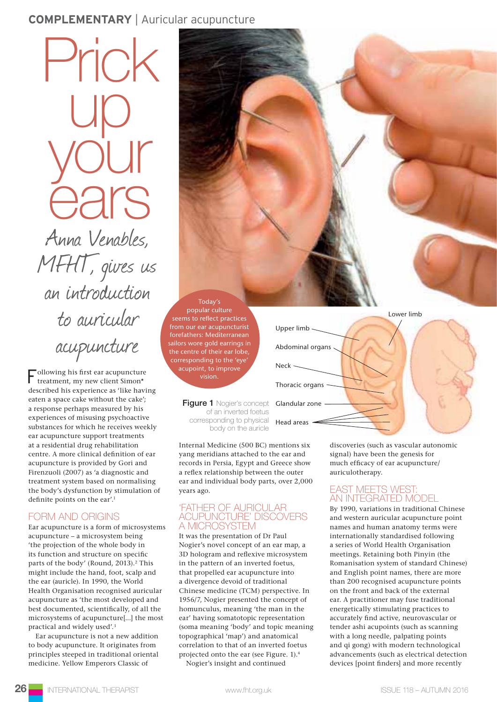# **COMPLEMENTARY** | Auricular acupuncture

Anna Venables, MFHT, gives us an introduction to auricular acupuncture up your ears

Prick

Following his first ear acupuncture treatment, my new client Simon\* described his experience as 'like having eaten a space cake without the cake'; a response perhaps measured by his experiences of misusing psychoactive substances for which he receives weekly ear acupuncture support treatments at a residential drug rehabilitation centre. A more clinical definition of ear acupuncture is provided by Gori and Firenzuoli (2007) as 'a diagnostic and treatment system based on normalising the body's dysfunction by stimulation of definite points on the ear'.1

## FORM AND ORIGINS

Ear acupuncture is a form of microsystems acupuncture – a microsystem being 'the projection of the whole body in its function and structure on specific parts of the body' (Round, 2013).<sup>2</sup> This might include the hand, foot, scalp and the ear (auricle). In 1990, the World Health Organisation recognised auricular acupuncture as 'the most developed and best documented, scientifically, of all the microsystems of acupuncture[...] the most practical and widely used'.3

Ear acupuncture is not a new addition to body acupuncture. It originates from principles steeped in traditional oriental medicine. Yellow Emperors Classic of



Internal Medicine (500 BC) mentions six yang meridians attached to the ear and records in Persia, Egypt and Greece show a reflex relationship between the outer ear and individual body parts, over 2,000 years ago.

Today's popular culture seems to reflect practices from our ear acupuncturist forefathers: Mediterranean sailors wore gold earrings in the centre of their ear lobe, corresponding to the 'eye' acupoint, to improve vision.

#### 'FATHER OF AURICULAR ACUPUNCTURE' DISCOVERS A MICROSYSTEM

It was the presentation of Dr Paul Nogier's novel concept of an ear map, a 3D hologram and reflexive microsystem in the pattern of an inverted foetus, that propelled ear acupuncture into a divergence devoid of traditional Chinese medicine (TCM) perspective. In 1956/7, Nogier presented the concept of homunculus, meaning 'the man in the ear' having somatotopic representation (soma meaning 'body' and topic meaning topographical 'map') and anatomical correlation to that of an inverted foetus projected onto the ear (see Figure. 1).4

Nogier's insight and continued

discoveries (such as vascular autonomic signal) have been the genesis for much efficacy of ear acupuncture/ auriculotherapy.

### EAST MEETS WEST: AN INTEGRATED MODEL

By 1990, variations in traditional Chinese and western auricular acupuncture point names and human anatomy terms were internationally standardised following a series of World Health Organisation meetings. Retaining both Pinyin (the Romanisation system of standard Chinese) and English point names, there are more than 200 recognised acupuncture points on the front and back of the external ear. A practitioner may fuse traditional energetically stimulating practices to accurately find active, neurovascular or tender ashi acupoints (such as scanning with a long needle, palpating points and qi gong) with modern technological advancements (such as electrical detection devices [point finders] and more recently